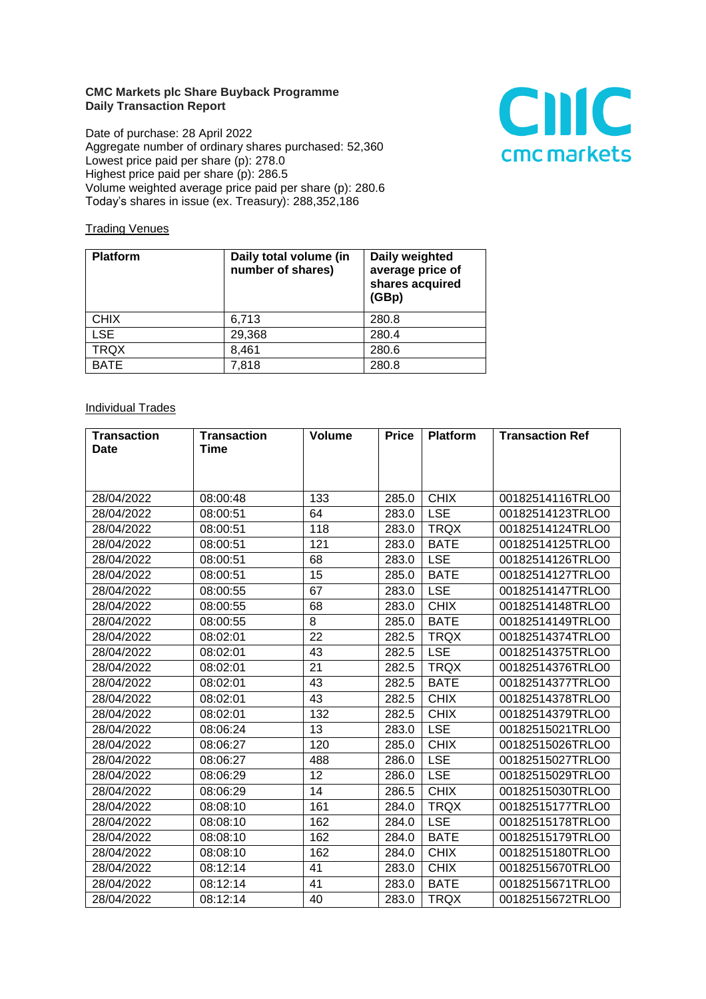## **CMC Markets plc Share Buyback Programme Daily Transaction Report**

Date of purchase: 28 April 2022 Aggregate number of ordinary shares purchased: 52,360 Lowest price paid per share (p): 278.0 Highest price paid per share (p): 286.5 Volume weighted average price paid per share (p): 280.6 Today's shares in issue (ex. Treasury): 288,352,186



## **Trading Venues**

| <b>Platform</b> | Daily total volume (in<br>number of shares) | Daily weighted<br>average price of<br>shares acquired<br>(GBp) |
|-----------------|---------------------------------------------|----------------------------------------------------------------|
| <b>CHIX</b>     | 6,713                                       | 280.8                                                          |
| <b>LSE</b>      | 29,368                                      | 280.4                                                          |
| <b>TRQX</b>     | 8,461                                       | 280.6                                                          |
| <b>BATE</b>     | 7,818                                       | 280.8                                                          |

## **Individual Trades**

| <b>Transaction</b> | <b>Transaction</b> | <b>Volume</b> | <b>Price</b> | <b>Platform</b> | <b>Transaction Ref</b> |
|--------------------|--------------------|---------------|--------------|-----------------|------------------------|
| <b>Date</b>        | Time               |               |              |                 |                        |
|                    |                    |               |              |                 |                        |
|                    |                    |               |              |                 |                        |
| 28/04/2022         | 08:00:48           | 133           | 285.0        | <b>CHIX</b>     | 00182514116TRLO0       |
| 28/04/2022         | 08:00:51           | 64            | 283.0        | <b>LSE</b>      | 00182514123TRLO0       |
| 28/04/2022         | 08:00:51           | 118           | 283.0        | <b>TRQX</b>     | 00182514124TRLO0       |
| 28/04/2022         | 08:00:51           | 121           | 283.0        | <b>BATE</b>     | 00182514125TRLO0       |
| 28/04/2022         | 08:00:51           | 68            | 283.0        | <b>LSE</b>      | 00182514126TRLO0       |
| 28/04/2022         | 08:00:51           | 15            | 285.0        | <b>BATE</b>     | 00182514127TRLO0       |
| 28/04/2022         | 08:00:55           | 67            | 283.0        | <b>LSE</b>      | 00182514147TRLO0       |
| 28/04/2022         | 08:00:55           | 68            | 283.0        | <b>CHIX</b>     | 00182514148TRLO0       |
| 28/04/2022         | 08:00:55           | 8             | 285.0        | <b>BATE</b>     | 00182514149TRLO0       |
| 28/04/2022         | 08:02:01           | 22            | 282.5        | <b>TRQX</b>     | 00182514374TRLO0       |
| 28/04/2022         | 08:02:01           | 43            | 282.5        | <b>LSE</b>      | 00182514375TRLO0       |
| 28/04/2022         | 08:02:01           | 21            | 282.5        | <b>TRQX</b>     | 00182514376TRLO0       |
| 28/04/2022         | 08:02:01           | 43            | 282.5        | <b>BATE</b>     | 00182514377TRLO0       |
| 28/04/2022         | 08:02:01           | 43            | 282.5        | <b>CHIX</b>     | 00182514378TRLO0       |
| 28/04/2022         | 08:02:01           | 132           | 282.5        | <b>CHIX</b>     | 00182514379TRLO0       |
| 28/04/2022         | 08:06:24           | 13            | 283.0        | <b>LSE</b>      | 00182515021TRLO0       |
| 28/04/2022         | 08:06:27           | 120           | 285.0        | <b>CHIX</b>     | 00182515026TRLO0       |
| 28/04/2022         | 08:06:27           | 488           | 286.0        | <b>LSE</b>      | 00182515027TRLO0       |
| 28/04/2022         | 08:06:29           | 12            | 286.0        | <b>LSE</b>      | 00182515029TRLO0       |
| 28/04/2022         | 08:06:29           | 14            | 286.5        | <b>CHIX</b>     | 00182515030TRLO0       |
| 28/04/2022         | 08:08:10           | 161           | 284.0        | <b>TRQX</b>     | 00182515177TRLO0       |
| 28/04/2022         | 08:08:10           | 162           | 284.0        | <b>LSE</b>      | 00182515178TRLO0       |
| 28/04/2022         | 08:08:10           | 162           | 284.0        | <b>BATE</b>     | 00182515179TRLO0       |
| 28/04/2022         | 08:08:10           | 162           | 284.0        | <b>CHIX</b>     | 00182515180TRLO0       |
| 28/04/2022         | 08:12:14           | 41            | 283.0        | <b>CHIX</b>     | 00182515670TRLO0       |
| 28/04/2022         | 08:12:14           | 41            | 283.0        | <b>BATE</b>     | 00182515671TRLO0       |
| 28/04/2022         | 08:12:14           | 40            | 283.0        | <b>TRQX</b>     | 00182515672TRLO0       |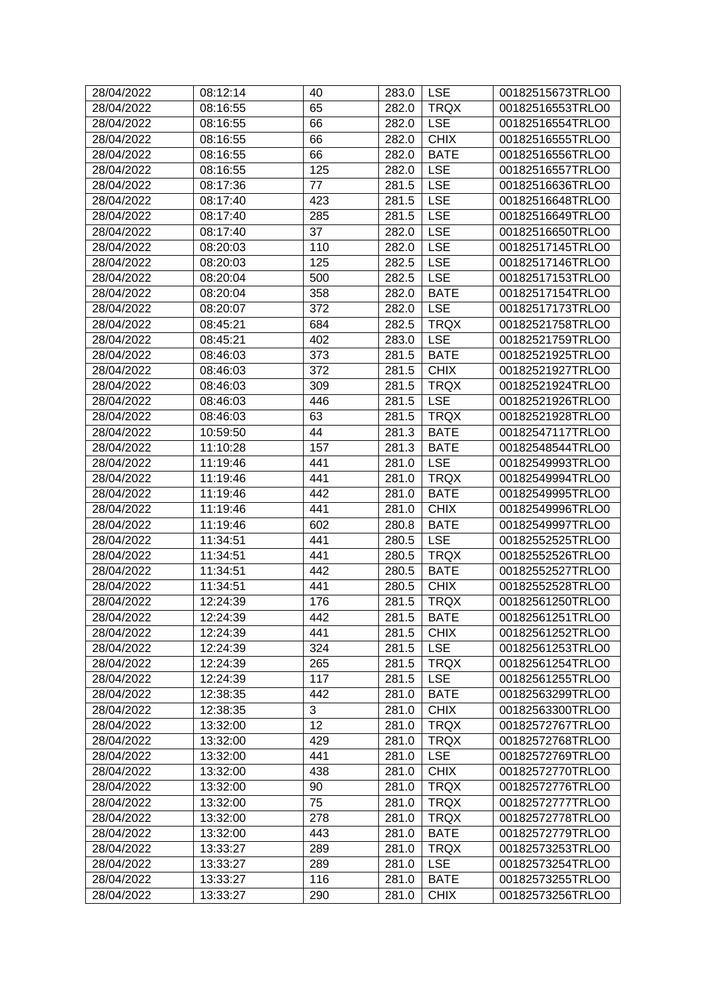| 65<br><b>TRQX</b><br>00182516553TRLO0<br>28/04/2022<br>08:16:55<br>282.0<br>66<br><b>LSE</b><br>00182516554TRLO0<br>28/04/2022<br>08:16:55<br>282.0<br><b>CHIX</b><br>28/04/2022<br>66<br>282.0<br>08:16:55<br>00182516555TRLO0<br>66<br><b>BATE</b><br>28/04/2022<br>08:16:55<br>282.0<br>00182516556TRLO0<br>125<br>28/04/2022<br>08:16:55<br><b>LSE</b><br>00182516557TRLO0<br>282.0<br>77<br><b>LSE</b><br>28/04/2022<br>08:17:36<br>281.5<br>00182516636TRLO0<br>423<br><b>LSE</b><br>28/04/2022<br>08:17:40<br>00182516648TRLO0<br>281.5<br>28/04/2022<br>08:17:40<br>281.5<br><b>LSE</b><br>00182516649TRLO0<br>285<br>37<br><b>LSE</b><br>28/04/2022<br>282.0<br>08:17:40<br>00182516650TRLO0<br><b>LSE</b><br>110<br>28/04/2022<br>08:20:03<br>282.0<br>00182517145TRLO0<br>28/04/2022<br>08:20:03<br>125<br><b>LSE</b><br>00182517146TRLO0<br>282.5<br><b>LSE</b><br>28/04/2022<br>08:20:04<br>500<br>282.5<br>00182517153TRLO0<br>358<br><b>BATE</b><br>28/04/2022<br>08:20:04<br>282.0<br>00182517154TRLO0<br>28/04/2022<br>372<br><b>LSE</b><br>00182517173TRLO0<br>08:20:07<br>282.0<br>684<br>282.5<br><b>TRQX</b><br>00182521758TRLO0<br>28/04/2022<br>08:45:21<br><b>LSE</b><br>402<br>00182521759TRLO0<br>28/04/2022<br>08:45:21<br>283.0<br>28/04/2022<br>373<br><b>BATE</b><br>00182521925TRLO0<br>08:46:03<br>281.5<br>372<br><b>CHIX</b><br>28/04/2022<br>08:46:03<br>281.5<br>00182521927TRLO0<br><b>TRQX</b><br>28/04/2022<br>309<br>281.5<br>00182521924TRLO0<br>08:46:03<br>28/04/2022<br>446<br>281.5<br><b>LSE</b><br>00182521926TRLO0<br>08:46:03<br>28/04/2022<br>63<br>281.5<br><b>TRQX</b><br>00182521928TRLO0<br>08:46:03<br>28/04/2022<br>44<br>281.3<br><b>BATE</b><br>00182547117TRLO0<br>10:59:50<br>28/04/2022<br>11:10:28<br>157<br><b>BATE</b><br>00182548544TRLO0<br>281.3<br><b>LSE</b><br>28/04/2022<br>11:19:46<br>441<br>281.0<br>00182549993TRLO0<br><b>TRQX</b><br>28/04/2022<br>11:19:46<br>441<br>00182549994TRLO0<br>281.0<br>28/04/2022<br>11:19:46<br>442<br><b>BATE</b><br>281.0<br>00182549995TRLO0<br>11:19:46<br>441<br>281.0<br><b>CHIX</b><br>28/04/2022<br>00182549996TRLO0<br>602<br><b>BATE</b><br>28/04/2022<br>11:19:46<br>280.8<br>00182549997TRLO0<br><b>LSE</b><br>28/04/2022<br>11:34:51<br>441<br>00182552525TRLO0<br>280.5<br><b>TRQX</b><br>28/04/2022<br>11:34:51<br>441<br>280.5<br>00182552526TRLO0<br><b>BATE</b><br>00182552527TRLO0<br>28/04/2022<br>11:34:51<br>442<br>280.5<br><b>CHIX</b><br>28/04/2022<br>11:34:51<br>441<br>280.5<br>00182552528TRLO0<br>28/04/2022<br>12:24:39<br>176<br>281.5<br><b>TRQX</b><br>00182561250TRLO0<br>12:24:39<br>442<br>281.5<br><b>BATE</b><br>00182561251TRLO0<br>28/04/2022<br><b>CHIX</b><br>28/04/2022<br>12:24:39<br>441<br>281.5<br>00182561252TRLO0<br><b>LSE</b><br>28/04/2022<br>12:24:39<br>324<br>00182561253TRLO0<br>281.5<br><b>TRQX</b><br>28/04/2022<br>12:24:39<br>00182561254TRLO0<br>265<br>281.5<br><b>LSE</b><br>28/04/2022<br>117<br>281.5<br>00182561255TRLO0<br>12:24:39<br>442<br><b>BATE</b><br>28/04/2022<br>12:38:35<br>281.0<br>00182563299TRLO0<br>3<br>12:38:35<br><b>CHIX</b><br>28/04/2022<br>281.0<br>00182563300TRLO0<br>12<br><b>TRQX</b><br>28/04/2022<br>13:32:00<br>281.0<br>00182572767TRLO0<br><b>TRQX</b><br>28/04/2022<br>429<br>281.0<br>00182572768TRLO0<br>13:32:00<br><b>LSE</b><br>28/04/2022<br>441<br>281.0<br>00182572769TRLO0<br>13:32:00<br><b>CHIX</b><br>28/04/2022<br>13:32:00<br>438<br>281.0<br>00182572770TRLO0<br><b>TRQX</b><br>28/04/2022<br>13:32:00<br>90<br>281.0<br>00182572776TRLO0<br>75<br><b>TRQX</b><br>28/04/2022<br>13:32:00<br>281.0<br>00182572777TRLO0<br><b>TRQX</b><br>28/04/2022<br>13:32:00<br>278<br>281.0<br>00182572778TRLO0<br>443<br><b>BATE</b><br>28/04/2022<br>13:32:00<br>281.0<br>00182572779TRLO0<br><b>TRQX</b><br>28/04/2022<br>13:33:27<br>289<br>281.0<br>00182573253TRLO0<br><b>LSE</b><br>28/04/2022<br>13:33:27<br>289<br>281.0<br>00182573254TRLO0<br>116<br><b>BATE</b><br>28/04/2022<br>13:33:27<br>281.0<br>00182573255TRLO0<br><b>CHIX</b><br>00182573256TRLO0<br>28/04/2022<br>13:33:27<br>290<br>281.0 | 28/04/2022 | 08:12:14 | 40 | 283.0 | <b>LSE</b> | 00182515673TRLO0 |
|-----------------------------------------------------------------------------------------------------------------------------------------------------------------------------------------------------------------------------------------------------------------------------------------------------------------------------------------------------------------------------------------------------------------------------------------------------------------------------------------------------------------------------------------------------------------------------------------------------------------------------------------------------------------------------------------------------------------------------------------------------------------------------------------------------------------------------------------------------------------------------------------------------------------------------------------------------------------------------------------------------------------------------------------------------------------------------------------------------------------------------------------------------------------------------------------------------------------------------------------------------------------------------------------------------------------------------------------------------------------------------------------------------------------------------------------------------------------------------------------------------------------------------------------------------------------------------------------------------------------------------------------------------------------------------------------------------------------------------------------------------------------------------------------------------------------------------------------------------------------------------------------------------------------------------------------------------------------------------------------------------------------------------------------------------------------------------------------------------------------------------------------------------------------------------------------------------------------------------------------------------------------------------------------------------------------------------------------------------------------------------------------------------------------------------------------------------------------------------------------------------------------------------------------------------------------------------------------------------------------------------------------------------------------------------------------------------------------------------------------------------------------------------------------------------------------------------------------------------------------------------------------------------------------------------------------------------------------------------------------------------------------------------------------------------------------------------------------------------------------------------------------------------------------------------------------------------------------------------------------------------------------------------------------------------------------------------------------------------------------------------------------------------------------------------------------------------------------------------------------------------------------------------------------------------------------------------------------------------------------------------------------------------------------------------------------------------------------------------------------------------------------------------------------------------------------------------------------------------------------------------------------------------------------------------------------------------------------------------------------------------------------------------------------------------------------------------------------------------------------------------------|------------|----------|----|-------|------------|------------------|
|                                                                                                                                                                                                                                                                                                                                                                                                                                                                                                                                                                                                                                                                                                                                                                                                                                                                                                                                                                                                                                                                                                                                                                                                                                                                                                                                                                                                                                                                                                                                                                                                                                                                                                                                                                                                                                                                                                                                                                                                                                                                                                                                                                                                                                                                                                                                                                                                                                                                                                                                                                                                                                                                                                                                                                                                                                                                                                                                                                                                                                                                                                                                                                                                                                                                                                                                                                                                                                                                                                                                                                                                                                                                                                                                                                                                                                                                                                                                                                                                                                                                                                                                   |            |          |    |       |            |                  |
|                                                                                                                                                                                                                                                                                                                                                                                                                                                                                                                                                                                                                                                                                                                                                                                                                                                                                                                                                                                                                                                                                                                                                                                                                                                                                                                                                                                                                                                                                                                                                                                                                                                                                                                                                                                                                                                                                                                                                                                                                                                                                                                                                                                                                                                                                                                                                                                                                                                                                                                                                                                                                                                                                                                                                                                                                                                                                                                                                                                                                                                                                                                                                                                                                                                                                                                                                                                                                                                                                                                                                                                                                                                                                                                                                                                                                                                                                                                                                                                                                                                                                                                                   |            |          |    |       |            |                  |
|                                                                                                                                                                                                                                                                                                                                                                                                                                                                                                                                                                                                                                                                                                                                                                                                                                                                                                                                                                                                                                                                                                                                                                                                                                                                                                                                                                                                                                                                                                                                                                                                                                                                                                                                                                                                                                                                                                                                                                                                                                                                                                                                                                                                                                                                                                                                                                                                                                                                                                                                                                                                                                                                                                                                                                                                                                                                                                                                                                                                                                                                                                                                                                                                                                                                                                                                                                                                                                                                                                                                                                                                                                                                                                                                                                                                                                                                                                                                                                                                                                                                                                                                   |            |          |    |       |            |                  |
|                                                                                                                                                                                                                                                                                                                                                                                                                                                                                                                                                                                                                                                                                                                                                                                                                                                                                                                                                                                                                                                                                                                                                                                                                                                                                                                                                                                                                                                                                                                                                                                                                                                                                                                                                                                                                                                                                                                                                                                                                                                                                                                                                                                                                                                                                                                                                                                                                                                                                                                                                                                                                                                                                                                                                                                                                                                                                                                                                                                                                                                                                                                                                                                                                                                                                                                                                                                                                                                                                                                                                                                                                                                                                                                                                                                                                                                                                                                                                                                                                                                                                                                                   |            |          |    |       |            |                  |
|                                                                                                                                                                                                                                                                                                                                                                                                                                                                                                                                                                                                                                                                                                                                                                                                                                                                                                                                                                                                                                                                                                                                                                                                                                                                                                                                                                                                                                                                                                                                                                                                                                                                                                                                                                                                                                                                                                                                                                                                                                                                                                                                                                                                                                                                                                                                                                                                                                                                                                                                                                                                                                                                                                                                                                                                                                                                                                                                                                                                                                                                                                                                                                                                                                                                                                                                                                                                                                                                                                                                                                                                                                                                                                                                                                                                                                                                                                                                                                                                                                                                                                                                   |            |          |    |       |            |                  |
|                                                                                                                                                                                                                                                                                                                                                                                                                                                                                                                                                                                                                                                                                                                                                                                                                                                                                                                                                                                                                                                                                                                                                                                                                                                                                                                                                                                                                                                                                                                                                                                                                                                                                                                                                                                                                                                                                                                                                                                                                                                                                                                                                                                                                                                                                                                                                                                                                                                                                                                                                                                                                                                                                                                                                                                                                                                                                                                                                                                                                                                                                                                                                                                                                                                                                                                                                                                                                                                                                                                                                                                                                                                                                                                                                                                                                                                                                                                                                                                                                                                                                                                                   |            |          |    |       |            |                  |
|                                                                                                                                                                                                                                                                                                                                                                                                                                                                                                                                                                                                                                                                                                                                                                                                                                                                                                                                                                                                                                                                                                                                                                                                                                                                                                                                                                                                                                                                                                                                                                                                                                                                                                                                                                                                                                                                                                                                                                                                                                                                                                                                                                                                                                                                                                                                                                                                                                                                                                                                                                                                                                                                                                                                                                                                                                                                                                                                                                                                                                                                                                                                                                                                                                                                                                                                                                                                                                                                                                                                                                                                                                                                                                                                                                                                                                                                                                                                                                                                                                                                                                                                   |            |          |    |       |            |                  |
|                                                                                                                                                                                                                                                                                                                                                                                                                                                                                                                                                                                                                                                                                                                                                                                                                                                                                                                                                                                                                                                                                                                                                                                                                                                                                                                                                                                                                                                                                                                                                                                                                                                                                                                                                                                                                                                                                                                                                                                                                                                                                                                                                                                                                                                                                                                                                                                                                                                                                                                                                                                                                                                                                                                                                                                                                                                                                                                                                                                                                                                                                                                                                                                                                                                                                                                                                                                                                                                                                                                                                                                                                                                                                                                                                                                                                                                                                                                                                                                                                                                                                                                                   |            |          |    |       |            |                  |
|                                                                                                                                                                                                                                                                                                                                                                                                                                                                                                                                                                                                                                                                                                                                                                                                                                                                                                                                                                                                                                                                                                                                                                                                                                                                                                                                                                                                                                                                                                                                                                                                                                                                                                                                                                                                                                                                                                                                                                                                                                                                                                                                                                                                                                                                                                                                                                                                                                                                                                                                                                                                                                                                                                                                                                                                                                                                                                                                                                                                                                                                                                                                                                                                                                                                                                                                                                                                                                                                                                                                                                                                                                                                                                                                                                                                                                                                                                                                                                                                                                                                                                                                   |            |          |    |       |            |                  |
|                                                                                                                                                                                                                                                                                                                                                                                                                                                                                                                                                                                                                                                                                                                                                                                                                                                                                                                                                                                                                                                                                                                                                                                                                                                                                                                                                                                                                                                                                                                                                                                                                                                                                                                                                                                                                                                                                                                                                                                                                                                                                                                                                                                                                                                                                                                                                                                                                                                                                                                                                                                                                                                                                                                                                                                                                                                                                                                                                                                                                                                                                                                                                                                                                                                                                                                                                                                                                                                                                                                                                                                                                                                                                                                                                                                                                                                                                                                                                                                                                                                                                                                                   |            |          |    |       |            |                  |
|                                                                                                                                                                                                                                                                                                                                                                                                                                                                                                                                                                                                                                                                                                                                                                                                                                                                                                                                                                                                                                                                                                                                                                                                                                                                                                                                                                                                                                                                                                                                                                                                                                                                                                                                                                                                                                                                                                                                                                                                                                                                                                                                                                                                                                                                                                                                                                                                                                                                                                                                                                                                                                                                                                                                                                                                                                                                                                                                                                                                                                                                                                                                                                                                                                                                                                                                                                                                                                                                                                                                                                                                                                                                                                                                                                                                                                                                                                                                                                                                                                                                                                                                   |            |          |    |       |            |                  |
|                                                                                                                                                                                                                                                                                                                                                                                                                                                                                                                                                                                                                                                                                                                                                                                                                                                                                                                                                                                                                                                                                                                                                                                                                                                                                                                                                                                                                                                                                                                                                                                                                                                                                                                                                                                                                                                                                                                                                                                                                                                                                                                                                                                                                                                                                                                                                                                                                                                                                                                                                                                                                                                                                                                                                                                                                                                                                                                                                                                                                                                                                                                                                                                                                                                                                                                                                                                                                                                                                                                                                                                                                                                                                                                                                                                                                                                                                                                                                                                                                                                                                                                                   |            |          |    |       |            |                  |
|                                                                                                                                                                                                                                                                                                                                                                                                                                                                                                                                                                                                                                                                                                                                                                                                                                                                                                                                                                                                                                                                                                                                                                                                                                                                                                                                                                                                                                                                                                                                                                                                                                                                                                                                                                                                                                                                                                                                                                                                                                                                                                                                                                                                                                                                                                                                                                                                                                                                                                                                                                                                                                                                                                                                                                                                                                                                                                                                                                                                                                                                                                                                                                                                                                                                                                                                                                                                                                                                                                                                                                                                                                                                                                                                                                                                                                                                                                                                                                                                                                                                                                                                   |            |          |    |       |            |                  |
|                                                                                                                                                                                                                                                                                                                                                                                                                                                                                                                                                                                                                                                                                                                                                                                                                                                                                                                                                                                                                                                                                                                                                                                                                                                                                                                                                                                                                                                                                                                                                                                                                                                                                                                                                                                                                                                                                                                                                                                                                                                                                                                                                                                                                                                                                                                                                                                                                                                                                                                                                                                                                                                                                                                                                                                                                                                                                                                                                                                                                                                                                                                                                                                                                                                                                                                                                                                                                                                                                                                                                                                                                                                                                                                                                                                                                                                                                                                                                                                                                                                                                                                                   |            |          |    |       |            |                  |
|                                                                                                                                                                                                                                                                                                                                                                                                                                                                                                                                                                                                                                                                                                                                                                                                                                                                                                                                                                                                                                                                                                                                                                                                                                                                                                                                                                                                                                                                                                                                                                                                                                                                                                                                                                                                                                                                                                                                                                                                                                                                                                                                                                                                                                                                                                                                                                                                                                                                                                                                                                                                                                                                                                                                                                                                                                                                                                                                                                                                                                                                                                                                                                                                                                                                                                                                                                                                                                                                                                                                                                                                                                                                                                                                                                                                                                                                                                                                                                                                                                                                                                                                   |            |          |    |       |            |                  |
|                                                                                                                                                                                                                                                                                                                                                                                                                                                                                                                                                                                                                                                                                                                                                                                                                                                                                                                                                                                                                                                                                                                                                                                                                                                                                                                                                                                                                                                                                                                                                                                                                                                                                                                                                                                                                                                                                                                                                                                                                                                                                                                                                                                                                                                                                                                                                                                                                                                                                                                                                                                                                                                                                                                                                                                                                                                                                                                                                                                                                                                                                                                                                                                                                                                                                                                                                                                                                                                                                                                                                                                                                                                                                                                                                                                                                                                                                                                                                                                                                                                                                                                                   |            |          |    |       |            |                  |
|                                                                                                                                                                                                                                                                                                                                                                                                                                                                                                                                                                                                                                                                                                                                                                                                                                                                                                                                                                                                                                                                                                                                                                                                                                                                                                                                                                                                                                                                                                                                                                                                                                                                                                                                                                                                                                                                                                                                                                                                                                                                                                                                                                                                                                                                                                                                                                                                                                                                                                                                                                                                                                                                                                                                                                                                                                                                                                                                                                                                                                                                                                                                                                                                                                                                                                                                                                                                                                                                                                                                                                                                                                                                                                                                                                                                                                                                                                                                                                                                                                                                                                                                   |            |          |    |       |            |                  |
|                                                                                                                                                                                                                                                                                                                                                                                                                                                                                                                                                                                                                                                                                                                                                                                                                                                                                                                                                                                                                                                                                                                                                                                                                                                                                                                                                                                                                                                                                                                                                                                                                                                                                                                                                                                                                                                                                                                                                                                                                                                                                                                                                                                                                                                                                                                                                                                                                                                                                                                                                                                                                                                                                                                                                                                                                                                                                                                                                                                                                                                                                                                                                                                                                                                                                                                                                                                                                                                                                                                                                                                                                                                                                                                                                                                                                                                                                                                                                                                                                                                                                                                                   |            |          |    |       |            |                  |
|                                                                                                                                                                                                                                                                                                                                                                                                                                                                                                                                                                                                                                                                                                                                                                                                                                                                                                                                                                                                                                                                                                                                                                                                                                                                                                                                                                                                                                                                                                                                                                                                                                                                                                                                                                                                                                                                                                                                                                                                                                                                                                                                                                                                                                                                                                                                                                                                                                                                                                                                                                                                                                                                                                                                                                                                                                                                                                                                                                                                                                                                                                                                                                                                                                                                                                                                                                                                                                                                                                                                                                                                                                                                                                                                                                                                                                                                                                                                                                                                                                                                                                                                   |            |          |    |       |            |                  |
|                                                                                                                                                                                                                                                                                                                                                                                                                                                                                                                                                                                                                                                                                                                                                                                                                                                                                                                                                                                                                                                                                                                                                                                                                                                                                                                                                                                                                                                                                                                                                                                                                                                                                                                                                                                                                                                                                                                                                                                                                                                                                                                                                                                                                                                                                                                                                                                                                                                                                                                                                                                                                                                                                                                                                                                                                                                                                                                                                                                                                                                                                                                                                                                                                                                                                                                                                                                                                                                                                                                                                                                                                                                                                                                                                                                                                                                                                                                                                                                                                                                                                                                                   |            |          |    |       |            |                  |
|                                                                                                                                                                                                                                                                                                                                                                                                                                                                                                                                                                                                                                                                                                                                                                                                                                                                                                                                                                                                                                                                                                                                                                                                                                                                                                                                                                                                                                                                                                                                                                                                                                                                                                                                                                                                                                                                                                                                                                                                                                                                                                                                                                                                                                                                                                                                                                                                                                                                                                                                                                                                                                                                                                                                                                                                                                                                                                                                                                                                                                                                                                                                                                                                                                                                                                                                                                                                                                                                                                                                                                                                                                                                                                                                                                                                                                                                                                                                                                                                                                                                                                                                   |            |          |    |       |            |                  |
|                                                                                                                                                                                                                                                                                                                                                                                                                                                                                                                                                                                                                                                                                                                                                                                                                                                                                                                                                                                                                                                                                                                                                                                                                                                                                                                                                                                                                                                                                                                                                                                                                                                                                                                                                                                                                                                                                                                                                                                                                                                                                                                                                                                                                                                                                                                                                                                                                                                                                                                                                                                                                                                                                                                                                                                                                                                                                                                                                                                                                                                                                                                                                                                                                                                                                                                                                                                                                                                                                                                                                                                                                                                                                                                                                                                                                                                                                                                                                                                                                                                                                                                                   |            |          |    |       |            |                  |
|                                                                                                                                                                                                                                                                                                                                                                                                                                                                                                                                                                                                                                                                                                                                                                                                                                                                                                                                                                                                                                                                                                                                                                                                                                                                                                                                                                                                                                                                                                                                                                                                                                                                                                                                                                                                                                                                                                                                                                                                                                                                                                                                                                                                                                                                                                                                                                                                                                                                                                                                                                                                                                                                                                                                                                                                                                                                                                                                                                                                                                                                                                                                                                                                                                                                                                                                                                                                                                                                                                                                                                                                                                                                                                                                                                                                                                                                                                                                                                                                                                                                                                                                   |            |          |    |       |            |                  |
|                                                                                                                                                                                                                                                                                                                                                                                                                                                                                                                                                                                                                                                                                                                                                                                                                                                                                                                                                                                                                                                                                                                                                                                                                                                                                                                                                                                                                                                                                                                                                                                                                                                                                                                                                                                                                                                                                                                                                                                                                                                                                                                                                                                                                                                                                                                                                                                                                                                                                                                                                                                                                                                                                                                                                                                                                                                                                                                                                                                                                                                                                                                                                                                                                                                                                                                                                                                                                                                                                                                                                                                                                                                                                                                                                                                                                                                                                                                                                                                                                                                                                                                                   |            |          |    |       |            |                  |
|                                                                                                                                                                                                                                                                                                                                                                                                                                                                                                                                                                                                                                                                                                                                                                                                                                                                                                                                                                                                                                                                                                                                                                                                                                                                                                                                                                                                                                                                                                                                                                                                                                                                                                                                                                                                                                                                                                                                                                                                                                                                                                                                                                                                                                                                                                                                                                                                                                                                                                                                                                                                                                                                                                                                                                                                                                                                                                                                                                                                                                                                                                                                                                                                                                                                                                                                                                                                                                                                                                                                                                                                                                                                                                                                                                                                                                                                                                                                                                                                                                                                                                                                   |            |          |    |       |            |                  |
|                                                                                                                                                                                                                                                                                                                                                                                                                                                                                                                                                                                                                                                                                                                                                                                                                                                                                                                                                                                                                                                                                                                                                                                                                                                                                                                                                                                                                                                                                                                                                                                                                                                                                                                                                                                                                                                                                                                                                                                                                                                                                                                                                                                                                                                                                                                                                                                                                                                                                                                                                                                                                                                                                                                                                                                                                                                                                                                                                                                                                                                                                                                                                                                                                                                                                                                                                                                                                                                                                                                                                                                                                                                                                                                                                                                                                                                                                                                                                                                                                                                                                                                                   |            |          |    |       |            |                  |
|                                                                                                                                                                                                                                                                                                                                                                                                                                                                                                                                                                                                                                                                                                                                                                                                                                                                                                                                                                                                                                                                                                                                                                                                                                                                                                                                                                                                                                                                                                                                                                                                                                                                                                                                                                                                                                                                                                                                                                                                                                                                                                                                                                                                                                                                                                                                                                                                                                                                                                                                                                                                                                                                                                                                                                                                                                                                                                                                                                                                                                                                                                                                                                                                                                                                                                                                                                                                                                                                                                                                                                                                                                                                                                                                                                                                                                                                                                                                                                                                                                                                                                                                   |            |          |    |       |            |                  |
|                                                                                                                                                                                                                                                                                                                                                                                                                                                                                                                                                                                                                                                                                                                                                                                                                                                                                                                                                                                                                                                                                                                                                                                                                                                                                                                                                                                                                                                                                                                                                                                                                                                                                                                                                                                                                                                                                                                                                                                                                                                                                                                                                                                                                                                                                                                                                                                                                                                                                                                                                                                                                                                                                                                                                                                                                                                                                                                                                                                                                                                                                                                                                                                                                                                                                                                                                                                                                                                                                                                                                                                                                                                                                                                                                                                                                                                                                                                                                                                                                                                                                                                                   |            |          |    |       |            |                  |
|                                                                                                                                                                                                                                                                                                                                                                                                                                                                                                                                                                                                                                                                                                                                                                                                                                                                                                                                                                                                                                                                                                                                                                                                                                                                                                                                                                                                                                                                                                                                                                                                                                                                                                                                                                                                                                                                                                                                                                                                                                                                                                                                                                                                                                                                                                                                                                                                                                                                                                                                                                                                                                                                                                                                                                                                                                                                                                                                                                                                                                                                                                                                                                                                                                                                                                                                                                                                                                                                                                                                                                                                                                                                                                                                                                                                                                                                                                                                                                                                                                                                                                                                   |            |          |    |       |            |                  |
|                                                                                                                                                                                                                                                                                                                                                                                                                                                                                                                                                                                                                                                                                                                                                                                                                                                                                                                                                                                                                                                                                                                                                                                                                                                                                                                                                                                                                                                                                                                                                                                                                                                                                                                                                                                                                                                                                                                                                                                                                                                                                                                                                                                                                                                                                                                                                                                                                                                                                                                                                                                                                                                                                                                                                                                                                                                                                                                                                                                                                                                                                                                                                                                                                                                                                                                                                                                                                                                                                                                                                                                                                                                                                                                                                                                                                                                                                                                                                                                                                                                                                                                                   |            |          |    |       |            |                  |
|                                                                                                                                                                                                                                                                                                                                                                                                                                                                                                                                                                                                                                                                                                                                                                                                                                                                                                                                                                                                                                                                                                                                                                                                                                                                                                                                                                                                                                                                                                                                                                                                                                                                                                                                                                                                                                                                                                                                                                                                                                                                                                                                                                                                                                                                                                                                                                                                                                                                                                                                                                                                                                                                                                                                                                                                                                                                                                                                                                                                                                                                                                                                                                                                                                                                                                                                                                                                                                                                                                                                                                                                                                                                                                                                                                                                                                                                                                                                                                                                                                                                                                                                   |            |          |    |       |            |                  |
|                                                                                                                                                                                                                                                                                                                                                                                                                                                                                                                                                                                                                                                                                                                                                                                                                                                                                                                                                                                                                                                                                                                                                                                                                                                                                                                                                                                                                                                                                                                                                                                                                                                                                                                                                                                                                                                                                                                                                                                                                                                                                                                                                                                                                                                                                                                                                                                                                                                                                                                                                                                                                                                                                                                                                                                                                                                                                                                                                                                                                                                                                                                                                                                                                                                                                                                                                                                                                                                                                                                                                                                                                                                                                                                                                                                                                                                                                                                                                                                                                                                                                                                                   |            |          |    |       |            |                  |
|                                                                                                                                                                                                                                                                                                                                                                                                                                                                                                                                                                                                                                                                                                                                                                                                                                                                                                                                                                                                                                                                                                                                                                                                                                                                                                                                                                                                                                                                                                                                                                                                                                                                                                                                                                                                                                                                                                                                                                                                                                                                                                                                                                                                                                                                                                                                                                                                                                                                                                                                                                                                                                                                                                                                                                                                                                                                                                                                                                                                                                                                                                                                                                                                                                                                                                                                                                                                                                                                                                                                                                                                                                                                                                                                                                                                                                                                                                                                                                                                                                                                                                                                   |            |          |    |       |            |                  |
|                                                                                                                                                                                                                                                                                                                                                                                                                                                                                                                                                                                                                                                                                                                                                                                                                                                                                                                                                                                                                                                                                                                                                                                                                                                                                                                                                                                                                                                                                                                                                                                                                                                                                                                                                                                                                                                                                                                                                                                                                                                                                                                                                                                                                                                                                                                                                                                                                                                                                                                                                                                                                                                                                                                                                                                                                                                                                                                                                                                                                                                                                                                                                                                                                                                                                                                                                                                                                                                                                                                                                                                                                                                                                                                                                                                                                                                                                                                                                                                                                                                                                                                                   |            |          |    |       |            |                  |
|                                                                                                                                                                                                                                                                                                                                                                                                                                                                                                                                                                                                                                                                                                                                                                                                                                                                                                                                                                                                                                                                                                                                                                                                                                                                                                                                                                                                                                                                                                                                                                                                                                                                                                                                                                                                                                                                                                                                                                                                                                                                                                                                                                                                                                                                                                                                                                                                                                                                                                                                                                                                                                                                                                                                                                                                                                                                                                                                                                                                                                                                                                                                                                                                                                                                                                                                                                                                                                                                                                                                                                                                                                                                                                                                                                                                                                                                                                                                                                                                                                                                                                                                   |            |          |    |       |            |                  |
|                                                                                                                                                                                                                                                                                                                                                                                                                                                                                                                                                                                                                                                                                                                                                                                                                                                                                                                                                                                                                                                                                                                                                                                                                                                                                                                                                                                                                                                                                                                                                                                                                                                                                                                                                                                                                                                                                                                                                                                                                                                                                                                                                                                                                                                                                                                                                                                                                                                                                                                                                                                                                                                                                                                                                                                                                                                                                                                                                                                                                                                                                                                                                                                                                                                                                                                                                                                                                                                                                                                                                                                                                                                                                                                                                                                                                                                                                                                                                                                                                                                                                                                                   |            |          |    |       |            |                  |
|                                                                                                                                                                                                                                                                                                                                                                                                                                                                                                                                                                                                                                                                                                                                                                                                                                                                                                                                                                                                                                                                                                                                                                                                                                                                                                                                                                                                                                                                                                                                                                                                                                                                                                                                                                                                                                                                                                                                                                                                                                                                                                                                                                                                                                                                                                                                                                                                                                                                                                                                                                                                                                                                                                                                                                                                                                                                                                                                                                                                                                                                                                                                                                                                                                                                                                                                                                                                                                                                                                                                                                                                                                                                                                                                                                                                                                                                                                                                                                                                                                                                                                                                   |            |          |    |       |            |                  |
|                                                                                                                                                                                                                                                                                                                                                                                                                                                                                                                                                                                                                                                                                                                                                                                                                                                                                                                                                                                                                                                                                                                                                                                                                                                                                                                                                                                                                                                                                                                                                                                                                                                                                                                                                                                                                                                                                                                                                                                                                                                                                                                                                                                                                                                                                                                                                                                                                                                                                                                                                                                                                                                                                                                                                                                                                                                                                                                                                                                                                                                                                                                                                                                                                                                                                                                                                                                                                                                                                                                                                                                                                                                                                                                                                                                                                                                                                                                                                                                                                                                                                                                                   |            |          |    |       |            |                  |
|                                                                                                                                                                                                                                                                                                                                                                                                                                                                                                                                                                                                                                                                                                                                                                                                                                                                                                                                                                                                                                                                                                                                                                                                                                                                                                                                                                                                                                                                                                                                                                                                                                                                                                                                                                                                                                                                                                                                                                                                                                                                                                                                                                                                                                                                                                                                                                                                                                                                                                                                                                                                                                                                                                                                                                                                                                                                                                                                                                                                                                                                                                                                                                                                                                                                                                                                                                                                                                                                                                                                                                                                                                                                                                                                                                                                                                                                                                                                                                                                                                                                                                                                   |            |          |    |       |            |                  |
|                                                                                                                                                                                                                                                                                                                                                                                                                                                                                                                                                                                                                                                                                                                                                                                                                                                                                                                                                                                                                                                                                                                                                                                                                                                                                                                                                                                                                                                                                                                                                                                                                                                                                                                                                                                                                                                                                                                                                                                                                                                                                                                                                                                                                                                                                                                                                                                                                                                                                                                                                                                                                                                                                                                                                                                                                                                                                                                                                                                                                                                                                                                                                                                                                                                                                                                                                                                                                                                                                                                                                                                                                                                                                                                                                                                                                                                                                                                                                                                                                                                                                                                                   |            |          |    |       |            |                  |
|                                                                                                                                                                                                                                                                                                                                                                                                                                                                                                                                                                                                                                                                                                                                                                                                                                                                                                                                                                                                                                                                                                                                                                                                                                                                                                                                                                                                                                                                                                                                                                                                                                                                                                                                                                                                                                                                                                                                                                                                                                                                                                                                                                                                                                                                                                                                                                                                                                                                                                                                                                                                                                                                                                                                                                                                                                                                                                                                                                                                                                                                                                                                                                                                                                                                                                                                                                                                                                                                                                                                                                                                                                                                                                                                                                                                                                                                                                                                                                                                                                                                                                                                   |            |          |    |       |            |                  |
|                                                                                                                                                                                                                                                                                                                                                                                                                                                                                                                                                                                                                                                                                                                                                                                                                                                                                                                                                                                                                                                                                                                                                                                                                                                                                                                                                                                                                                                                                                                                                                                                                                                                                                                                                                                                                                                                                                                                                                                                                                                                                                                                                                                                                                                                                                                                                                                                                                                                                                                                                                                                                                                                                                                                                                                                                                                                                                                                                                                                                                                                                                                                                                                                                                                                                                                                                                                                                                                                                                                                                                                                                                                                                                                                                                                                                                                                                                                                                                                                                                                                                                                                   |            |          |    |       |            |                  |
|                                                                                                                                                                                                                                                                                                                                                                                                                                                                                                                                                                                                                                                                                                                                                                                                                                                                                                                                                                                                                                                                                                                                                                                                                                                                                                                                                                                                                                                                                                                                                                                                                                                                                                                                                                                                                                                                                                                                                                                                                                                                                                                                                                                                                                                                                                                                                                                                                                                                                                                                                                                                                                                                                                                                                                                                                                                                                                                                                                                                                                                                                                                                                                                                                                                                                                                                                                                                                                                                                                                                                                                                                                                                                                                                                                                                                                                                                                                                                                                                                                                                                                                                   |            |          |    |       |            |                  |
|                                                                                                                                                                                                                                                                                                                                                                                                                                                                                                                                                                                                                                                                                                                                                                                                                                                                                                                                                                                                                                                                                                                                                                                                                                                                                                                                                                                                                                                                                                                                                                                                                                                                                                                                                                                                                                                                                                                                                                                                                                                                                                                                                                                                                                                                                                                                                                                                                                                                                                                                                                                                                                                                                                                                                                                                                                                                                                                                                                                                                                                                                                                                                                                                                                                                                                                                                                                                                                                                                                                                                                                                                                                                                                                                                                                                                                                                                                                                                                                                                                                                                                                                   |            |          |    |       |            |                  |
|                                                                                                                                                                                                                                                                                                                                                                                                                                                                                                                                                                                                                                                                                                                                                                                                                                                                                                                                                                                                                                                                                                                                                                                                                                                                                                                                                                                                                                                                                                                                                                                                                                                                                                                                                                                                                                                                                                                                                                                                                                                                                                                                                                                                                                                                                                                                                                                                                                                                                                                                                                                                                                                                                                                                                                                                                                                                                                                                                                                                                                                                                                                                                                                                                                                                                                                                                                                                                                                                                                                                                                                                                                                                                                                                                                                                                                                                                                                                                                                                                                                                                                                                   |            |          |    |       |            |                  |
|                                                                                                                                                                                                                                                                                                                                                                                                                                                                                                                                                                                                                                                                                                                                                                                                                                                                                                                                                                                                                                                                                                                                                                                                                                                                                                                                                                                                                                                                                                                                                                                                                                                                                                                                                                                                                                                                                                                                                                                                                                                                                                                                                                                                                                                                                                                                                                                                                                                                                                                                                                                                                                                                                                                                                                                                                                                                                                                                                                                                                                                                                                                                                                                                                                                                                                                                                                                                                                                                                                                                                                                                                                                                                                                                                                                                                                                                                                                                                                                                                                                                                                                                   |            |          |    |       |            |                  |
|                                                                                                                                                                                                                                                                                                                                                                                                                                                                                                                                                                                                                                                                                                                                                                                                                                                                                                                                                                                                                                                                                                                                                                                                                                                                                                                                                                                                                                                                                                                                                                                                                                                                                                                                                                                                                                                                                                                                                                                                                                                                                                                                                                                                                                                                                                                                                                                                                                                                                                                                                                                                                                                                                                                                                                                                                                                                                                                                                                                                                                                                                                                                                                                                                                                                                                                                                                                                                                                                                                                                                                                                                                                                                                                                                                                                                                                                                                                                                                                                                                                                                                                                   |            |          |    |       |            |                  |
|                                                                                                                                                                                                                                                                                                                                                                                                                                                                                                                                                                                                                                                                                                                                                                                                                                                                                                                                                                                                                                                                                                                                                                                                                                                                                                                                                                                                                                                                                                                                                                                                                                                                                                                                                                                                                                                                                                                                                                                                                                                                                                                                                                                                                                                                                                                                                                                                                                                                                                                                                                                                                                                                                                                                                                                                                                                                                                                                                                                                                                                                                                                                                                                                                                                                                                                                                                                                                                                                                                                                                                                                                                                                                                                                                                                                                                                                                                                                                                                                                                                                                                                                   |            |          |    |       |            |                  |
|                                                                                                                                                                                                                                                                                                                                                                                                                                                                                                                                                                                                                                                                                                                                                                                                                                                                                                                                                                                                                                                                                                                                                                                                                                                                                                                                                                                                                                                                                                                                                                                                                                                                                                                                                                                                                                                                                                                                                                                                                                                                                                                                                                                                                                                                                                                                                                                                                                                                                                                                                                                                                                                                                                                                                                                                                                                                                                                                                                                                                                                                                                                                                                                                                                                                                                                                                                                                                                                                                                                                                                                                                                                                                                                                                                                                                                                                                                                                                                                                                                                                                                                                   |            |          |    |       |            |                  |
|                                                                                                                                                                                                                                                                                                                                                                                                                                                                                                                                                                                                                                                                                                                                                                                                                                                                                                                                                                                                                                                                                                                                                                                                                                                                                                                                                                                                                                                                                                                                                                                                                                                                                                                                                                                                                                                                                                                                                                                                                                                                                                                                                                                                                                                                                                                                                                                                                                                                                                                                                                                                                                                                                                                                                                                                                                                                                                                                                                                                                                                                                                                                                                                                                                                                                                                                                                                                                                                                                                                                                                                                                                                                                                                                                                                                                                                                                                                                                                                                                                                                                                                                   |            |          |    |       |            |                  |
|                                                                                                                                                                                                                                                                                                                                                                                                                                                                                                                                                                                                                                                                                                                                                                                                                                                                                                                                                                                                                                                                                                                                                                                                                                                                                                                                                                                                                                                                                                                                                                                                                                                                                                                                                                                                                                                                                                                                                                                                                                                                                                                                                                                                                                                                                                                                                                                                                                                                                                                                                                                                                                                                                                                                                                                                                                                                                                                                                                                                                                                                                                                                                                                                                                                                                                                                                                                                                                                                                                                                                                                                                                                                                                                                                                                                                                                                                                                                                                                                                                                                                                                                   |            |          |    |       |            |                  |
|                                                                                                                                                                                                                                                                                                                                                                                                                                                                                                                                                                                                                                                                                                                                                                                                                                                                                                                                                                                                                                                                                                                                                                                                                                                                                                                                                                                                                                                                                                                                                                                                                                                                                                                                                                                                                                                                                                                                                                                                                                                                                                                                                                                                                                                                                                                                                                                                                                                                                                                                                                                                                                                                                                                                                                                                                                                                                                                                                                                                                                                                                                                                                                                                                                                                                                                                                                                                                                                                                                                                                                                                                                                                                                                                                                                                                                                                                                                                                                                                                                                                                                                                   |            |          |    |       |            |                  |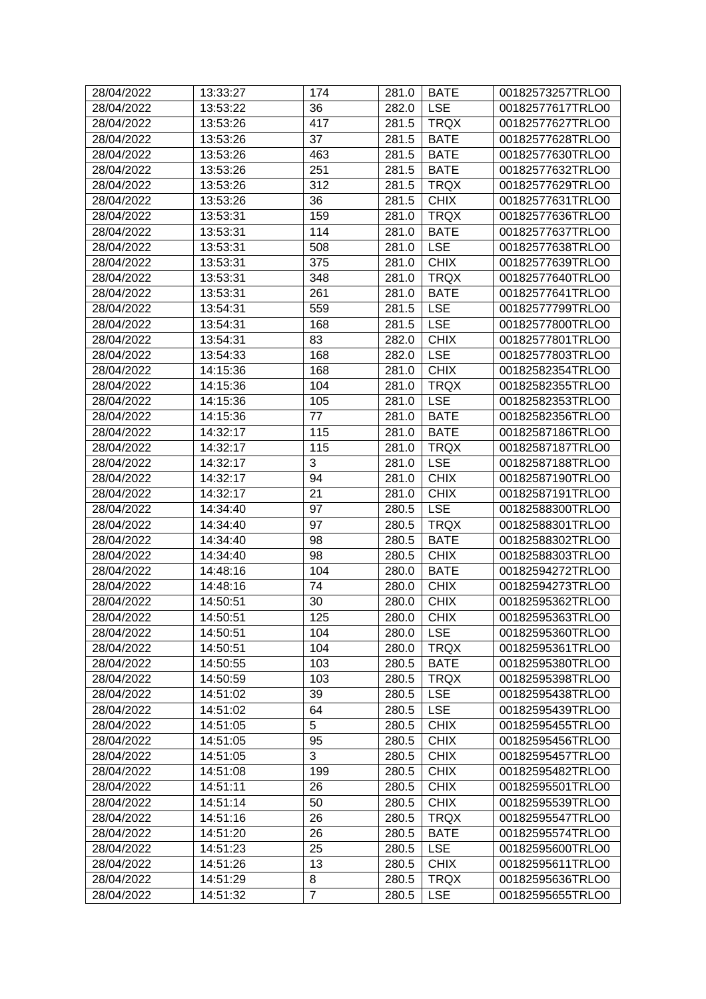| 28/04/2022 | 13:33:27 | 174            | 281.0 | <b>BATE</b> | 00182573257TRLO0 |
|------------|----------|----------------|-------|-------------|------------------|
| 28/04/2022 | 13:53:22 | 36             | 282.0 | <b>LSE</b>  | 00182577617TRLO0 |
| 28/04/2022 | 13:53:26 | 417            | 281.5 | <b>TRQX</b> | 00182577627TRLO0 |
| 28/04/2022 | 13:53:26 | 37             | 281.5 | <b>BATE</b> | 00182577628TRLO0 |
| 28/04/2022 | 13:53:26 | 463            | 281.5 | <b>BATE</b> | 00182577630TRLO0 |
| 28/04/2022 | 13:53:26 | 251            | 281.5 | <b>BATE</b> | 00182577632TRLO0 |
| 28/04/2022 | 13:53:26 | 312            | 281.5 | <b>TRQX</b> | 00182577629TRLO0 |
| 28/04/2022 | 13:53:26 | 36             | 281.5 | <b>CHIX</b> | 00182577631TRLO0 |
| 28/04/2022 | 13:53:31 | 159            | 281.0 | <b>TRQX</b> | 00182577636TRLO0 |
| 28/04/2022 | 13:53:31 | 114            | 281.0 | <b>BATE</b> | 00182577637TRLO0 |
| 28/04/2022 | 13:53:31 | 508            | 281.0 | <b>LSE</b>  | 00182577638TRLO0 |
| 28/04/2022 | 13:53:31 | 375            | 281.0 | <b>CHIX</b> | 00182577639TRLO0 |
| 28/04/2022 | 13:53:31 | 348            | 281.0 | <b>TRQX</b> | 00182577640TRLO0 |
| 28/04/2022 | 13:53:31 | 261            | 281.0 | <b>BATE</b> | 00182577641TRLO0 |
| 28/04/2022 | 13:54:31 | 559            | 281.5 | <b>LSE</b>  | 00182577799TRLO0 |
| 28/04/2022 | 13:54:31 | 168            | 281.5 | <b>LSE</b>  | 00182577800TRLO0 |
| 28/04/2022 | 13:54:31 | 83             | 282.0 | <b>CHIX</b> | 00182577801TRLO0 |
| 28/04/2022 | 13:54:33 | 168            | 282.0 | <b>LSE</b>  | 00182577803TRLO0 |
| 28/04/2022 | 14:15:36 | 168            | 281.0 | <b>CHIX</b> | 00182582354TRLO0 |
| 28/04/2022 | 14:15:36 | 104            | 281.0 | <b>TRQX</b> | 00182582355TRLO0 |
| 28/04/2022 | 14:15:36 | 105            | 281.0 | <b>LSE</b>  | 00182582353TRLO0 |
| 28/04/2022 | 14:15:36 | 77             | 281.0 | <b>BATE</b> | 00182582356TRLO0 |
| 28/04/2022 | 14:32:17 | 115            | 281.0 | <b>BATE</b> | 00182587186TRLO0 |
| 28/04/2022 | 14:32:17 | 115            | 281.0 | <b>TRQX</b> | 00182587187TRLO0 |
| 28/04/2022 | 14:32:17 | 3              |       | <b>LSE</b>  | 00182587188TRLO0 |
| 28/04/2022 |          |                | 281.0 | <b>CHIX</b> |                  |
|            | 14:32:17 | 94             | 281.0 |             | 00182587190TRLO0 |
| 28/04/2022 | 14:32:17 | 21             | 281.0 | <b>CHIX</b> | 00182587191TRLO0 |
| 28/04/2022 | 14:34:40 | 97             | 280.5 | <b>LSE</b>  | 00182588300TRLO0 |
| 28/04/2022 | 14:34:40 | 97             | 280.5 | <b>TRQX</b> | 00182588301TRLO0 |
| 28/04/2022 | 14:34:40 | 98             | 280.5 | <b>BATE</b> | 00182588302TRLO0 |
| 28/04/2022 | 14:34:40 | 98             | 280.5 | <b>CHIX</b> | 00182588303TRLO0 |
| 28/04/2022 | 14:48:16 | 104            | 280.0 | <b>BATE</b> | 00182594272TRLO0 |
| 28/04/2022 | 14:48:16 | 74             | 280.0 | <b>CHIX</b> | 00182594273TRLO0 |
| 28/04/2022 | 14:50:51 | 30             | 280.0 | <b>CHIX</b> | 00182595362TRLO0 |
| 28/04/2022 | 14:50:51 | 125            | 280.0 | <b>CHIX</b> | 00182595363TRLO0 |
| 28/04/2022 | 14:50:51 | 104            | 280.0 | <b>LSE</b>  | 00182595360TRLO0 |
| 28/04/2022 | 14:50:51 | 104            | 280.0 | <b>TRQX</b> | 00182595361TRLO0 |
| 28/04/2022 | 14:50:55 | 103            | 280.5 | <b>BATE</b> | 00182595380TRLO0 |
| 28/04/2022 | 14:50:59 | 103            | 280.5 | <b>TRQX</b> | 00182595398TRLO0 |
| 28/04/2022 | 14:51:02 | 39             | 280.5 | <b>LSE</b>  | 00182595438TRLO0 |
| 28/04/2022 | 14:51:02 | 64             | 280.5 | <b>LSE</b>  | 00182595439TRLO0 |
| 28/04/2022 | 14:51:05 | 5              | 280.5 | <b>CHIX</b> | 00182595455TRLO0 |
| 28/04/2022 | 14:51:05 | 95             | 280.5 | <b>CHIX</b> | 00182595456TRLO0 |
| 28/04/2022 | 14:51:05 | 3              | 280.5 | <b>CHIX</b> | 00182595457TRLO0 |
| 28/04/2022 | 14:51:08 | 199            | 280.5 | <b>CHIX</b> | 00182595482TRLO0 |
| 28/04/2022 | 14:51:11 | 26             | 280.5 | <b>CHIX</b> | 00182595501TRLO0 |
| 28/04/2022 | 14:51:14 | 50             | 280.5 | <b>CHIX</b> | 00182595539TRLO0 |
| 28/04/2022 | 14:51:16 | 26             | 280.5 | <b>TRQX</b> | 00182595547TRLO0 |
| 28/04/2022 | 14:51:20 | 26             | 280.5 | <b>BATE</b> | 00182595574TRLO0 |
| 28/04/2022 | 14:51:23 | 25             | 280.5 | <b>LSE</b>  | 00182595600TRLO0 |
| 28/04/2022 | 14:51:26 | 13             | 280.5 | <b>CHIX</b> | 00182595611TRLO0 |
| 28/04/2022 | 14:51:29 | 8              | 280.5 | <b>TRQX</b> | 00182595636TRLO0 |
| 28/04/2022 | 14:51:32 | $\overline{7}$ | 280.5 | <b>LSE</b>  | 00182595655TRLO0 |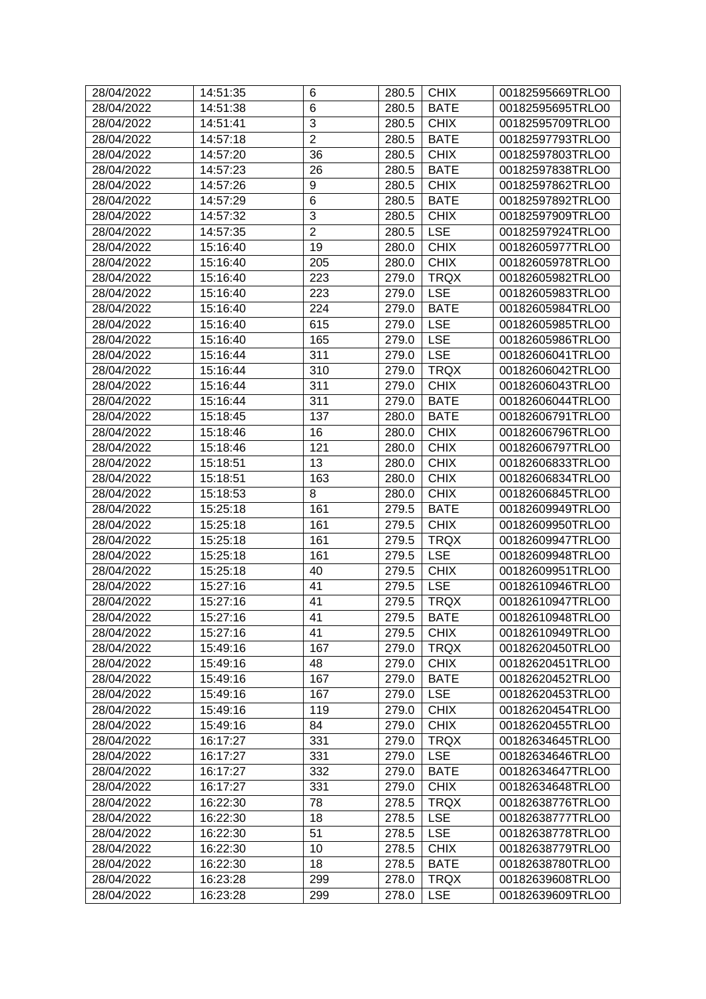| 28/04/2022               | 14:51:35             | 6              | 280.5 | <b>CHIX</b> | 00182595669TRLO0                     |
|--------------------------|----------------------|----------------|-------|-------------|--------------------------------------|
| 28/04/2022               | 14:51:38             | 6              | 280.5 | <b>BATE</b> | 00182595695TRLO0                     |
| 28/04/2022               | 14:51:41             | 3              | 280.5 | <b>CHIX</b> | 00182595709TRLO0                     |
| 28/04/2022               | 14:57:18             | $\overline{2}$ | 280.5 | <b>BATE</b> | 00182597793TRLO0                     |
| 28/04/2022               | 14:57:20             | 36             | 280.5 | <b>CHIX</b> | 00182597803TRLO0                     |
| 28/04/2022               | 14:57:23             | 26             | 280.5 | <b>BATE</b> | 00182597838TRLO0                     |
| 28/04/2022               | 14:57:26             | 9              | 280.5 | <b>CHIX</b> | 00182597862TRLO0                     |
| 28/04/2022               | 14:57:29             | 6              | 280.5 | <b>BATE</b> | 00182597892TRLO0                     |
| 28/04/2022               | 14:57:32             | 3              | 280.5 | <b>CHIX</b> | 00182597909TRLO0                     |
| 28/04/2022               | 14:57:35             | $\overline{2}$ | 280.5 | <b>LSE</b>  | 00182597924TRLO0                     |
| 28/04/2022               | 15:16:40             | 19             | 280.0 | <b>CHIX</b> | 00182605977TRLO0                     |
| 28/04/2022               | 15:16:40             | 205            | 280.0 | <b>CHIX</b> | 00182605978TRLO0                     |
| 28/04/2022               | 15:16:40             | 223            | 279.0 | <b>TRQX</b> | 00182605982TRLO0                     |
| 28/04/2022               | 15:16:40             | 223            | 279.0 | <b>LSE</b>  | 00182605983TRLO0                     |
| 28/04/2022               | 15:16:40             | 224            | 279.0 | <b>BATE</b> | 00182605984TRLO0                     |
| 28/04/2022               | 15:16:40             | 615            | 279.0 | <b>LSE</b>  | 00182605985TRLO0                     |
| 28/04/2022               | 15:16:40             | 165            | 279.0 | <b>LSE</b>  | 00182605986TRLO0                     |
| 28/04/2022               | 15:16:44             | 311            | 279.0 | <b>LSE</b>  | 00182606041TRLO0                     |
| 28/04/2022               | 15:16:44             | 310            | 279.0 | <b>TRQX</b> | 00182606042TRLO0                     |
| 28/04/2022               | 15:16:44             | 311            | 279.0 | <b>CHIX</b> | 00182606043TRLO0                     |
| 28/04/2022               | 15:16:44             | 311            | 279.0 | <b>BATE</b> | 00182606044TRLO0                     |
| 28/04/2022               | 15:18:45             | 137            | 280.0 | <b>BATE</b> | 00182606791TRLO0                     |
| 28/04/2022               | 15:18:46             | 16             | 280.0 | <b>CHIX</b> | 00182606796TRLO0                     |
| 28/04/2022               | 15:18:46             | 121            | 280.0 | <b>CHIX</b> | 00182606797TRLO0                     |
| 28/04/2022               | 15:18:51             | 13             | 280.0 | <b>CHIX</b> | 00182606833TRLO0                     |
| 28/04/2022               | 15:18:51             | 163            | 280.0 | <b>CHIX</b> | 00182606834TRLO0                     |
| 28/04/2022               | 15:18:53             | 8              | 280.0 | <b>CHIX</b> | 00182606845TRLO0                     |
| 28/04/2022               | 15:25:18             | 161            | 279.5 | <b>BATE</b> | 00182609949TRLO0                     |
| 28/04/2022               |                      | 161            |       | <b>CHIX</b> | 00182609950TRLO0                     |
|                          | 15:25:18             |                | 279.5 | <b>TRQX</b> |                                      |
| 28/04/2022<br>28/04/2022 | 15:25:18<br>15:25:18 | 161<br>161     | 279.5 | <b>LSE</b>  | 00182609947TRLO0<br>00182609948TRLO0 |
|                          |                      |                | 279.5 |             |                                      |
| 28/04/2022               | 15:25:18             | 40             | 279.5 | <b>CHIX</b> | 00182609951TRLO0<br>00182610946TRLO0 |
| 28/04/2022               | 15:27:16             | 41             | 279.5 | <b>LSE</b>  | 00182610947TRLO0                     |
| 28/04/2022               | 15:27:16             | 41             | 279.5 | <b>TRQX</b> |                                      |
| 28/04/2022               | 15:27:16             | 41             | 279.5 | <b>BATE</b> | 00182610948TRLO0                     |
| 28/04/2022               | 15:27:16             | 41             | 279.5 | <b>CHIX</b> | 00182610949TRLO0                     |
| 28/04/2022               | 15:49:16             | 167            | 279.0 | <b>TRQX</b> | 00182620450TRLO0                     |
| 28/04/2022               | 15:49:16             | 48             | 279.0 | <b>CHIX</b> | 00182620451TRLO0                     |
| 28/04/2022               | 15:49:16             | 167            | 279.0 | <b>BATE</b> | 00182620452TRLO0                     |
| 28/04/2022               | 15:49:16             | 167            | 279.0 | <b>LSE</b>  | 00182620453TRLO0                     |
| 28/04/2022               | 15:49:16             | 119            | 279.0 | <b>CHIX</b> | 00182620454TRLO0                     |
| 28/04/2022               | 15:49:16             | 84             | 279.0 | <b>CHIX</b> | 00182620455TRLO0                     |
| 28/04/2022               | 16:17:27             | 331            | 279.0 | <b>TRQX</b> | 00182634645TRLO0                     |
| 28/04/2022               | 16:17:27             | 331            | 279.0 | <b>LSE</b>  | 00182634646TRLO0                     |
| 28/04/2022               | 16:17:27             | 332            | 279.0 | <b>BATE</b> | 00182634647TRLO0                     |
| 28/04/2022               | 16:17:27             | 331            | 279.0 | <b>CHIX</b> | 00182634648TRLO0                     |
| 28/04/2022               | 16:22:30             | 78             | 278.5 | <b>TRQX</b> | 00182638776TRLO0                     |
| 28/04/2022               | 16:22:30             | 18             | 278.5 | <b>LSE</b>  | 00182638777TRLO0                     |
| 28/04/2022               | 16:22:30             | 51             | 278.5 | <b>LSE</b>  | 00182638778TRLO0                     |
| 28/04/2022               | 16:22:30             | 10             | 278.5 | <b>CHIX</b> | 00182638779TRLO0                     |
| 28/04/2022               | 16:22:30             | 18             | 278.5 | <b>BATE</b> | 00182638780TRLO0                     |
| 28/04/2022               | 16:23:28             | 299            | 278.0 | <b>TRQX</b> | 00182639608TRLO0                     |
| 28/04/2022               | 16:23:28             | 299            | 278.0 | <b>LSE</b>  | 00182639609TRLO0                     |